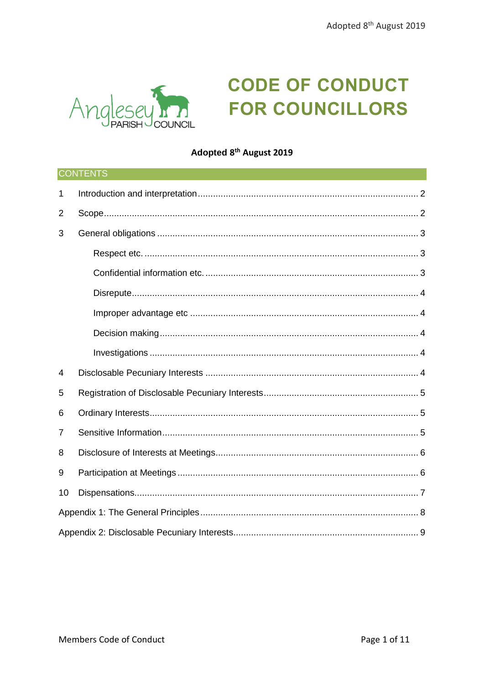

# **CODE OF CONDUCT FOR COUNCILLORS**

# Adopted 8<sup>th</sup> August 2019

| CONTENTS       |  |  |  |
|----------------|--|--|--|
| 1              |  |  |  |
| 2              |  |  |  |
| 3              |  |  |  |
|                |  |  |  |
|                |  |  |  |
|                |  |  |  |
|                |  |  |  |
|                |  |  |  |
|                |  |  |  |
| 4              |  |  |  |
| 5              |  |  |  |
| 6              |  |  |  |
| $\overline{7}$ |  |  |  |
| 8              |  |  |  |
| 9              |  |  |  |
| 10             |  |  |  |
|                |  |  |  |
|                |  |  |  |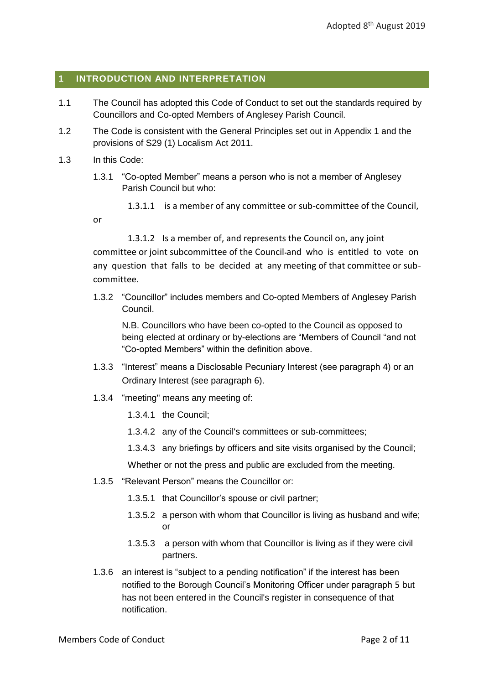# <span id="page-1-0"></span>**1 INTRODUCTION AND INTERPRETATION**

- 1.1 The Council has adopted this Code of Conduct to set out the standards required by Councillors and Co-opted Members of Anglesey Parish Council.
- 1.2 The Code is consistent with the General Principles set out in Appendix 1 and the provisions of S29 (1) Localism Act 2011.
- 1.3 In this Code:

or

1.3.1 "Co-opted Member" means a person who is not a member of Anglesey Parish Council but who:

1.3.1.1 is a member of any committee or sub-committee of the Council,

1.3.1.2 Is a member of, and represents the Council on, any joint committee or joint subcommittee of the Council and who is entitled to vote on any question that falls to be decided at any meeting of that committee or subcommittee.

1.3.2 "Councillor" includes members and Co-opted Members of Anglesey Parish Council.

N.B. Councillors who have been co-opted to the Council as opposed to being elected at ordinary or by-elections are "Members of Council "and not "Co-opted Members" within the definition above.

- 1.3.3 "Interest" means a Disclosable Pecuniary Interest (see paragraph [4](#page-4-0)) or an Ordinary Interest (see paragraph [6](#page-4-2)).
- 1.3.4 "meeting" means any meeting of:
	- 1.3.4.1 the Council;
	- 1.3.4.2 any of the Council's committees or sub-committees;
	- 1.3.4.3 any briefings by officers and site visits organised by the Council;

Whether or not the press and public are excluded from the meeting.

- 1.3.5 "Relevant Person" means the Councillor or:
	- 1.3.5.1 that Councillor's spouse or civil partner;
	- 1.3.5.2 a person with whom that Councillor is living as husband and wife; or
	- 1.3.5.3 a person with whom that Councillor is living as if they were civil partners.
- 1.3.6 an interest is "subject to a pending notification" if the interest has been notified to the Borough Council's Monitoring Officer under paragraph [5](#page-4-1) but has not been entered in the Council's register in consequence of that notification.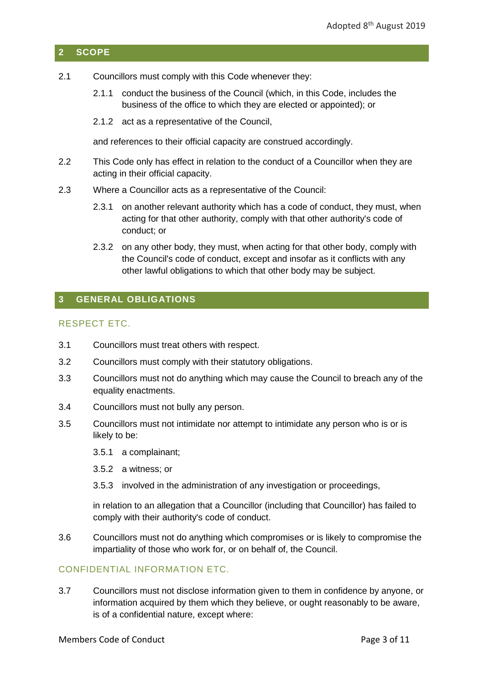# <span id="page-2-0"></span>**2 SCOPE**

- 2.1 Councillors must comply with this Code whenever they:
	- 2.1.1 conduct the business of the Council (which, in this Code, includes the business of the office to which they are elected or appointed); or
	- 2.1.2 act as a representative of the Council,

and references to their official capacity are construed accordingly.

- 2.2 This Code only has effect in relation to the conduct of a Councillor when they are acting in their official capacity.
- 2.3 Where a Councillor acts as a representative of the Council:
	- 2.3.1 on another relevant authority which has a code of conduct, they must, when acting for that other authority, comply with that other authority's code of conduct; or
	- 2.3.2 on any other body, they must, when acting for that other body, comply with the Council's code of conduct, except and insofar as it conflicts with any other lawful obligations to which that other body may be subject.

# <span id="page-2-1"></span>**3 GENERAL OBLIGATIONS**

# <span id="page-2-2"></span>RESPECT ETC.

- 3.1 Councillors must treat others with respect.
- 3.2 Councillors must comply with their statutory obligations.
- 3.3 Councillors must not do anything which may cause the Council to breach any of the equality enactments.
- 3.4 Councillors must not bully any person.
- 3.5 Councillors must not intimidate nor attempt to intimidate any person who is or is likely to be:
	- 3.5.1 a complainant;
	- 3.5.2 a witness; or
	- 3.5.3 involved in the administration of any investigation or proceedings,

in relation to an allegation that a Councillor (including that Councillor) has failed to comply with their authority's code of conduct.

3.6 Councillors must not do anything which compromises or is likely to compromise the impartiality of those who work for, or on behalf of, the Council.

# <span id="page-2-3"></span>CONFIDENTIAL INFORMATION ETC.

3.7 Councillors must not disclose information given to them in confidence by anyone, or information acquired by them which they believe, or ought reasonably to be aware, is of a confidential nature, except where: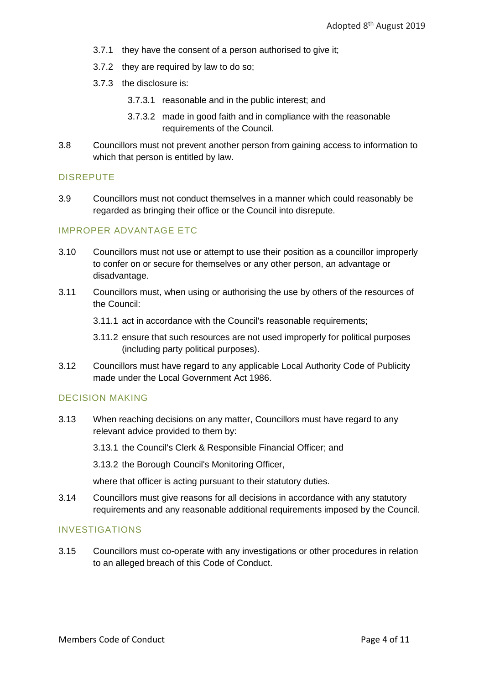- 3.7.1 they have the consent of a person authorised to give it;
- 3.7.2 they are required by law to do so;
- 3.7.3 the disclosure is:
	- 3.7.3.1 reasonable and in the public interest; and
	- 3.7.3.2 made in good faith and in compliance with the reasonable requirements of the Council.
- 3.8 Councillors must not prevent another person from gaining access to information to which that person is entitled by law.

# <span id="page-3-0"></span>DISREPUTE

3.9 Councillors must not conduct themselves in a manner which could reasonably be regarded as bringing their office or the Council into disrepute.

# <span id="page-3-1"></span>IMPROPER ADVANTAGE ETC

- 3.10 Councillors must not use or attempt to use their position as a councillor improperly to confer on or secure for themselves or any other person, an advantage or disadvantage.
- 3.11 Councillors must, when using or authorising the use by others of the resources of the Council:
	- 3.11.1 act in accordance with the Council's reasonable requirements;
	- 3.11.2 ensure that such resources are not used improperly for political purposes (including party political purposes).
- 3.12 Councillors must have regard to any applicable Local Authority Code of Publicity made under the Local Government Act 1986.

# <span id="page-3-2"></span>DECISION MAKING

3.13 When reaching decisions on any matter, Councillors must have regard to any relevant advice provided to them by:

3.13.1 the Council's Clerk & Responsible Financial Officer; and

3.13.2 the Borough Council's Monitoring Officer,

where that officer is acting pursuant to their statutory duties.

3.14 Councillors must give reasons for all decisions in accordance with any statutory requirements and any reasonable additional requirements imposed by the Council.

# <span id="page-3-3"></span>INVESTIGATIONS

3.15 Councillors must co-operate with any investigations or other procedures in relation to an alleged breach of this Code of Conduct.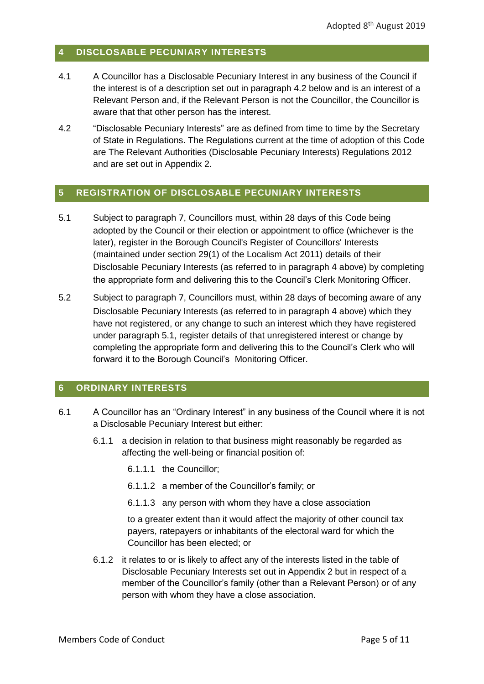# <span id="page-4-0"></span>**4 DISCLOSABLE PECUNIARY INTERESTS**

- 4.1 A Councillor has a Disclosable Pecuniary Interest in any business of the Council if the interest is of a description set out in paragraph 4.2 below and is an interest of a Relevant Person and, if the Relevant Person is not the Councillor, the Councillor is aware that that other person has the interest.
- 4.2 "Disclosable Pecuniary Interests" are as defined from time to time by the Secretary of State in Regulations. The Regulations current at the time of adoption of this Code are The Relevant Authorities (Disclosable Pecuniary Interests) Regulations 2012 and are set out in Appendix 2.

# <span id="page-4-1"></span>**5 REGISTRATION OF DISCLOSABLE PECUNIARY INTERESTS**

- <span id="page-4-3"></span>5.1 Subject to paragraph [7](#page-5-0), Councillors must, within 28 days of this Code being adopted by the Council or their election or appointment to office (whichever is the later), register in the Borough Council's Register of Councillors' Interests (maintained under section 29(1) of the Localism Act 2011) details of their Disclosable Pecuniary Interests (as referred to in paragraph [4](#page-4-0) above) by completing the appropriate form and delivering this to the Council's Clerk Monitoring Officer.
- 5.2 Subject to paragraph [7](#page-5-0), Councillors must, within 28 days of becoming aware of any Disclosable Pecuniary Interests (as referred to in paragraph [4](#page-4-0) above) which they have not registered, or any change to such an interest which they have registered under paragraph [5.1,](#page-4-3) register details of that unregistered interest or change by completing the appropriate form and delivering this to the Council's Clerk who will forward it to the Borough Council's Monitoring Officer.

# <span id="page-4-2"></span>**6 ORDINARY INTERESTS**

- 6.1 A Councillor has an "Ordinary Interest" in any business of the Council where it is not a Disclosable Pecuniary Interest but either:
	- 6.1.1 a decision in relation to that business might reasonably be regarded as affecting the well-being or financial position of:
		- 6.1.1.1 the Councillor;
		- 6.1.1.2 a member of the Councillor's family; or
		- 6.1.1.3 any person with whom they have a close association

to a greater extent than it would affect the majority of other council tax payers, ratepayers or inhabitants of the electoral ward for which the Councillor has been elected; or

6.1.2 it relates to or is likely to affect any of the interests listed in the table of Disclosable Pecuniary Interests set out in Appendix 2 but in respect of a member of the Councillor's family (other than a Relevant Person) or of any person with whom they have a close association.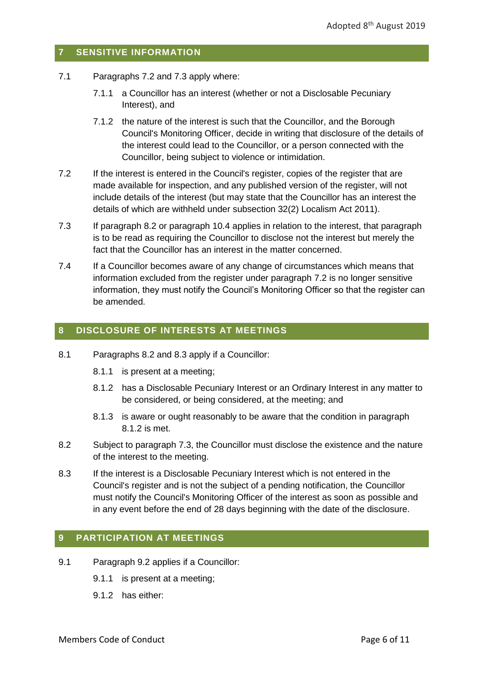# <span id="page-5-0"></span>**7 SENSITIVE INFORMATION**

- 7.1 Paragraphs [7.2](#page-5-3) and [7.3](#page-5-4) apply where:
	- 7.1.1 a Councillor has an interest (whether or not a Disclosable Pecuniary Interest), and
	- 7.1.2 the nature of the interest is such that the Councillor, and the Borough Council's Monitoring Officer, decide in writing that disclosure of the details of the interest could lead to the Councillor, or a person connected with the Councillor, being subject to violence or intimidation.
- <span id="page-5-3"></span>7.2 If the interest is entered in the Council's register, copies of the register that are made available for inspection, and any published version of the register, will not include details of the interest (but may state that the Councillor has an interest the details of which are withheld under subsection 32(2) Localism Act 2011).
- <span id="page-5-4"></span>7.3 If paragraph [8.2](#page-5-5) or paragraph 10.4 applies in relation to the interest, that paragraph is to be read as requiring the Councillor to disclose not the interest but merely the fact that the Councillor has an interest in the matter concerned.
- 7.4 If a Councillor becomes aware of any change of circumstances which means that information excluded from the register under paragraph [7.2](#page-5-3) is no longer sensitive information, they must notify the Council's Monitoring Officer so that the register can be amended.

# <span id="page-5-1"></span>**8 DISCLOSURE OF INTERESTS AT MEETINGS**

- <span id="page-5-7"></span>8.1 Paragraphs [8.2](#page-5-5) and [8.3](#page-5-6) apply if a Councillor:
	- 8.1.1 is present at a meeting;
	- 8.1.2 has a Disclosable Pecuniary Interest or an Ordinary Interest in any matter to be considered, or being considered, at the meeting; and
	- 8.1.3 is aware or ought reasonably to be aware that the condition in paragraph [8.1.2](#page-5-7) is met.
- <span id="page-5-5"></span>8.2 Subject to paragraph [7.3,](#page-5-4) the Councillor must disclose the existence and the nature of the interest to the meeting.
- <span id="page-5-6"></span>8.3 If the interest is a Disclosable Pecuniary Interest which is not entered in the Council's register and is not the subject of a pending notification, the Councillor must notify the Council's Monitoring Officer of the interest as soon as possible and in any event before the end of 28 days beginning with the date of the disclosure.

# <span id="page-5-2"></span>**9 PARTICIPATION AT MEETINGS**

- 9.1 Paragraph [9.2](#page-6-0) applies if a Councillor:
	- 9.1.1 is present at a meeting;
	- 9.1.2 has either: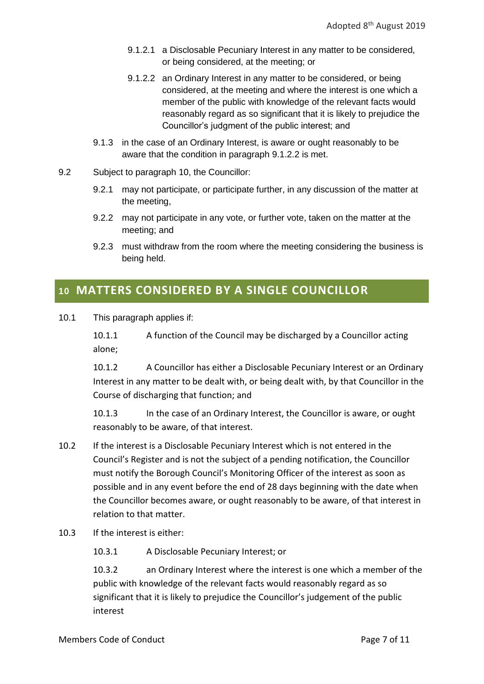- 9.1.2.1 a Disclosable Pecuniary Interest in any matter to be considered, or being considered, at the meeting; or
- <span id="page-6-1"></span>9.1.2.2 an Ordinary Interest in any matter to be considered, or being considered, at the meeting and where the interest is one which a member of the public with knowledge of the relevant facts would reasonably regard as so significant that it is likely to prejudice the Councillor's judgment of the public interest; and
- 9.1.3 in the case of an Ordinary Interest, is aware or ought reasonably to be aware that the condition in paragraph [9.1.2.2](#page-6-1) is met.
- <span id="page-6-0"></span>9.2 Subject to paragraph 10, the Councillor:
	- 9.2.1 may not participate, or participate further, in any discussion of the matter at the meeting,
	- 9.2.2 may not participate in any vote, or further vote, taken on the matter at the meeting; and
	- 9.2.3 must withdraw from the room where the meeting considering the business is being held.

# **<sup>10</sup> MATTERS CONSIDERED BY A SINGLE COUNCILLOR**

<span id="page-6-2"></span>10.1 This paragraph applies if:

10.1.1 A function of the Council may be discharged by a Councillor acting alone;

10.1.2 A Councillor has either a Disclosable Pecuniary Interest or an Ordinary Interest in any matter to be dealt with, or being dealt with, by that Councillor in the Course of discharging that function; and

10.1.3 In the case of an Ordinary Interest, the Councillor is aware, or ought reasonably to be aware, of that interest.

- 10.2 If the interest is a Disclosable Pecuniary Interest which is not entered in the Council's Register and is not the subject of a pending notification, the Councillor must notify the Borough Council's Monitoring Officer of the interest as soon as possible and in any event before the end of 28 days beginning with the date when the Councillor becomes aware, or ought reasonably to be aware, of that interest in relation to that matter.
- 10.3 If the interest is either:

10.3.1 A Disclosable Pecuniary Interest; or

10.3.2 an Ordinary Interest where the interest is one which a member of the public with knowledge of the relevant facts would reasonably regard as so significant that it is likely to prejudice the Councillor's judgement of the public interest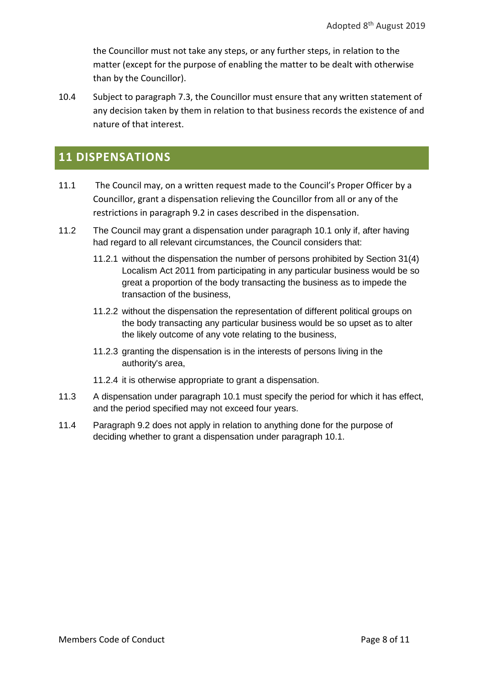the Councillor must not take any steps, or any further steps, in relation to the matter (except for the purpose of enabling the matter to be dealt with otherwise than by the Councillor).

10.4 Subject to paragraph 7.3, the Councillor must ensure that any written statement of any decision taken by them in relation to that business records the existence of and nature of that interest.

# **11 DISPENSATIONS**

- 11.1 The Council may, on a written request made to the Council's Proper Officer by a Councillor, grant a dispensation relieving the Councillor from all or any of the restrictions in paragraph [9.2](#page-6-0) in cases described in the dispensation.
- 11.2 The Council may grant a dispensation under paragraph [10.1](#page-6-2) only if, after having had regard to all relevant circumstances, the Council considers that:
	- 11.2.1 without the dispensation the number of persons prohibited by Section 31(4) Localism Act 2011 from participating in any particular business would be so great a proportion of the body transacting the business as to impede the transaction of the business,
	- 11.2.2 without the dispensation the representation of different political groups on the body transacting any particular business would be so upset as to alter the likely outcome of any vote relating to the business,
	- 11.2.3 granting the dispensation is in the interests of persons living in the authority's area,
	- 11.2.4 it is otherwise appropriate to grant a dispensation.
- 11.3 A dispensation under paragraph [10.1](#page-6-2) must specify the period for which it has effect, and the period specified may not exceed four years.
- 11.4 Paragraph [9.2](#page-6-0) does not apply in relation to anything done for the purpose of deciding whether to grant a dispensation under paragraph [10.1.](#page-6-2)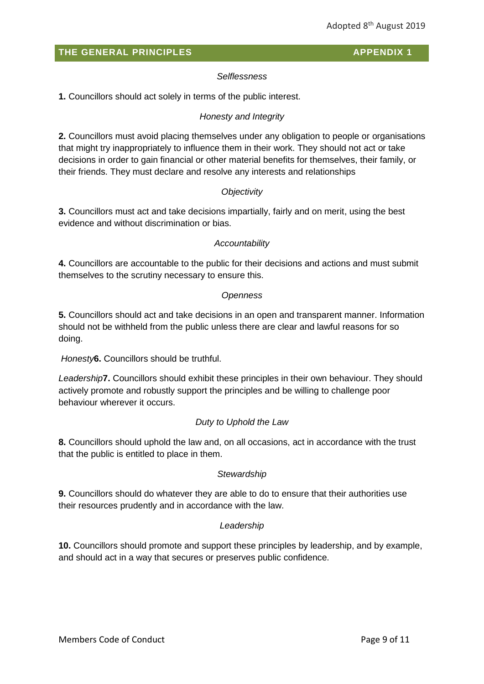# *Selflessness*

<span id="page-8-0"></span>**1.** Councillors should act solely in terms of the public interest.

# *Honesty and Integrity*

**2.** Councillors must avoid placing themselves under any obligation to people or organisations that might try inappropriately to influence them in their work. They should not act or take decisions in order to gain financial or other material benefits for themselves, their family, or their friends. They must declare and resolve any interests and relationships

# *Objectivity*

**3.** Councillors must act and take decisions impartially, fairly and on merit, using the best evidence and without discrimination or bias.

# *Accountability*

**4.** Councillors are accountable to the public for their decisions and actions and must submit themselves to the scrutiny necessary to ensure this.

# *Openness*

**5.** Councillors should act and take decisions in an open and transparent manner. Information should not be withheld from the public unless there are clear and lawful reasons for so doing.

*Honesty***6.** Councillors should be truthful.

*Leadership***7.** Councillors should exhibit these principles in their own behaviour. They should actively promote and robustly support the principles and be willing to challenge poor behaviour wherever it occurs.

# *Duty to Uphold the Law*

**8.** Councillors should uphold the law and, on all occasions, act in accordance with the trust that the public is entitled to place in them.

# *Stewardship*

**9.** Councillors should do whatever they are able to do to ensure that their authorities use their resources prudently and in accordance with the law.

# *Leadership*

**10.** Councillors should promote and support these principles by leadership, and by example, and should act in a way that secures or preserves public confidence.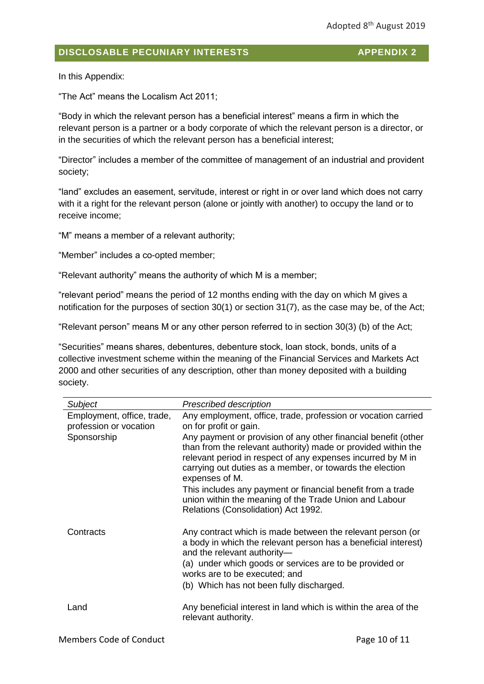# <span id="page-9-0"></span>**DISCLOSABLE PECUNIARY INTERESTS APPENDIX 2**

In this Appendix:

"The Act" means the Localism Act 2011;

"Body in which the relevant person has a beneficial interest" means a firm in which the relevant person is a partner or a body corporate of which the relevant person is a director, or in the securities of which the relevant person has a beneficial interest;

"Director" includes a member of the committee of management of an industrial and provident society;

"land" excludes an easement, servitude, interest or right in or over land which does not carry with it a right for the relevant person (alone or jointly with another) to occupy the land or to receive income;

"M" means a member of a relevant authority;

"Member" includes a co-opted member;

"Relevant authority" means the authority of which M is a member;

"relevant period" means the period of 12 months ending with the day on which M gives a notification for the purposes of section 30(1) or section 31(7), as the case may be, of the Act;

"Relevant person" means M or any other person referred to in section 30(3) (b) of the Act;

"Securities" means shares, debentures, debenture stock, loan stock, bonds, units of a collective investment scheme within the meaning of the Financial Services and Markets Act 2000 and other securities of any description, other than money deposited with a building society.

| <b>Subject</b>                                       | <b>Prescribed description</b>                                                                                                                                                                                                                                                |
|------------------------------------------------------|------------------------------------------------------------------------------------------------------------------------------------------------------------------------------------------------------------------------------------------------------------------------------|
| Employment, office, trade,<br>profession or vocation | Any employment, office, trade, profession or vocation carried<br>on for profit or gain.                                                                                                                                                                                      |
| Sponsorship                                          | Any payment or provision of any other financial benefit (other<br>than from the relevant authority) made or provided within the<br>relevant period in respect of any expenses incurred by M in<br>carrying out duties as a member, or towards the election<br>expenses of M. |
|                                                      | This includes any payment or financial benefit from a trade<br>union within the meaning of the Trade Union and Labour<br>Relations (Consolidation) Act 1992.                                                                                                                 |
| Contracts                                            | Any contract which is made between the relevant person (or<br>a body in which the relevant person has a beneficial interest)<br>and the relevant authority-<br>(a) under which goods or services are to be provided or                                                       |
|                                                      | works are to be executed; and                                                                                                                                                                                                                                                |
|                                                      | (b) Which has not been fully discharged.                                                                                                                                                                                                                                     |
| Land                                                 | Any beneficial interest in land which is within the area of the<br>relevant authority.                                                                                                                                                                                       |